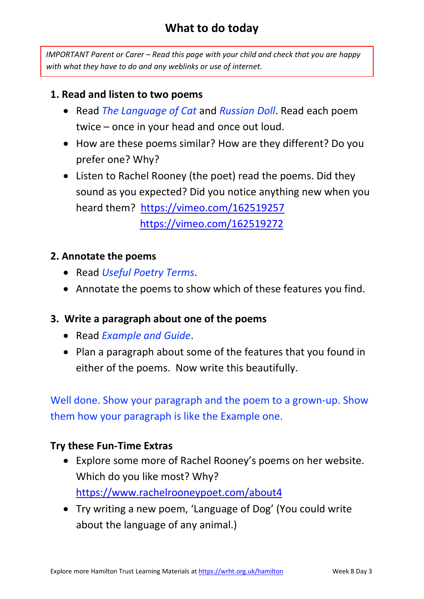## **What to do today**

*IMPORTANT Parent or Carer – Read this page with your child and check that you are happy with what they have to do and any weblinks or use of internet.* 

#### **1. Read and listen to two poems**

- Read *The Language of Cat* and *Russian Doll*. Read each poem twice – once in your head and once out loud.
- How are these poems similar? How are they different? Do you prefer one? Why?
- Listen to Rachel Rooney (the poet) read the poems. Did they sound as you expected? Did you notice anything new when you heard them? <https://vimeo.com/162519257> <https://vimeo.com/162519272>

#### **2. Annotate the poems**

- Read *Useful Poetry Terms*.
- Annotate the poems to show which of these features you find.

#### **3. Write a paragraph about one of the poems**

- Read *Example and Guide*.
- Plan a paragraph about some of the features that you found in either of the poems. Now write this beautifully.

Well done. Show your paragraph and the poem to a grown-up. Show them how your paragraph is like the Example one.

#### **Try these Fun-Time Extras**

- Explore some more of Rachel Rooney's poems on her website. Which do you like most? Why? <https://www.rachelrooneypoet.com/about4>
- Try writing a new poem, 'Language of Dog' (You could write about the language of any animal.)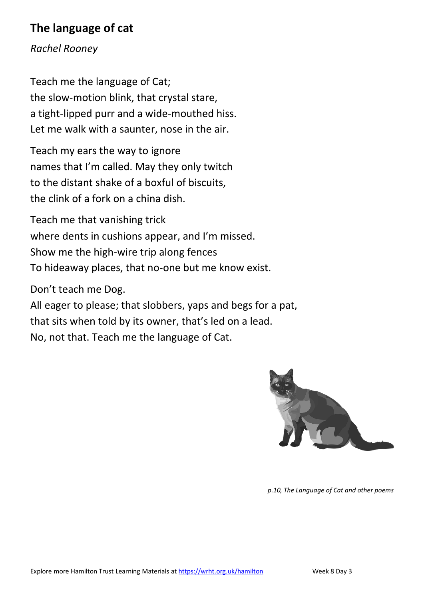## **The language of cat**

*Rachel Rooney*

Teach me the language of Cat; the slow-motion blink, that crystal stare, a tight-lipped purr and a wide-mouthed hiss. Let me walk with a saunter, nose in the air.

Teach my ears the way to ignore names that I'm called. May they only twitch to the distant shake of a boxful of biscuits, the clink of a fork on a china dish.

Teach me that vanishing trick where dents in cushions appear, and I'm missed. Show me the high-wire trip along fences To hideaway places, that no-one but me know exist.

Don't teach me Dog.

All eager to please; that slobbers, yaps and begs for a pat, that sits when told by its owner, that's led on a lead. No, not that. Teach me the language of Cat.



*p.10, The Language of Cat and other poems*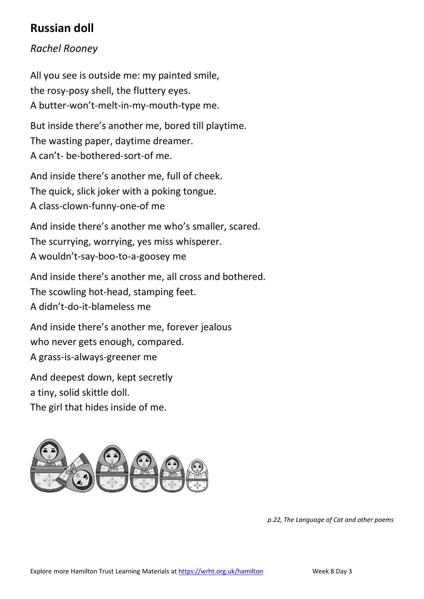## **Russian doll**

### *Rachel Rooney*

All you see is outside me: my painted smile, the rosy-posy shell, the fluttery eyes. A butter-won't-melt-in-my-mouth-type me.

But inside there's another me, bored till playtime. The wasting paper, daytime dreamer. A can't- be-bothered-sort-of me.

And inside there's another me, full of cheek. The quick, slick joker with a poking tongue. A class-clown-funny-one-of me

And inside there's another me who's smaller, scared. The scurrying, worrying, yes miss whisperer. A wouldn't-say-boo-to-a-goosey me

And inside there's another me, all cross and bothered. The scowling hot-head, stamping feet. A didn't-do-it-blameless me

And inside there's another me, forever jealous who never gets enough, compared. A grass-is-always-greener me

And deepest down, kept secretly a tiny, solid skittle doll. The girl that hides inside of me.



*p.22, The Language of Cat and other poems*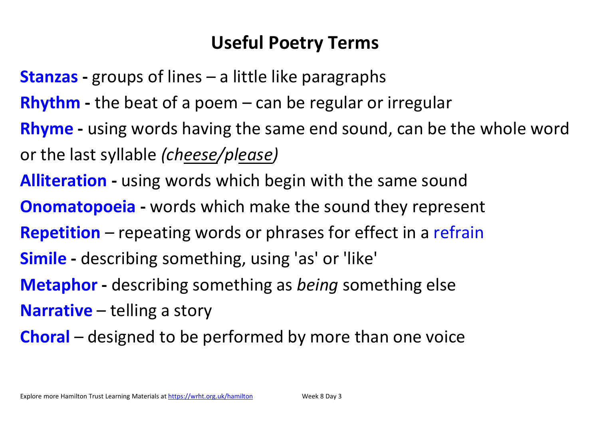# **Useful Poetry Terms**

- **Stanzas -** groups of lines a little like paragraphs
- **Rhythm -** the beat of a poem can be regular or irregular
- **Rhyme -** using words having the same end sound, can be the whole word or the last syllable *(cheese/please)*
- **Alliteration -** using words which begin with the same sound
- **Onomatopoeia -** words which make the sound they represent
- **Repetition** repeating words or phrases for effect in a refrain
- **Simile -** describing something, using 'as' or 'like'
- **Metaphor -** describing something as *being* something else
- **Narrative** telling a story
- **Choral** designed to be performed by more than one voice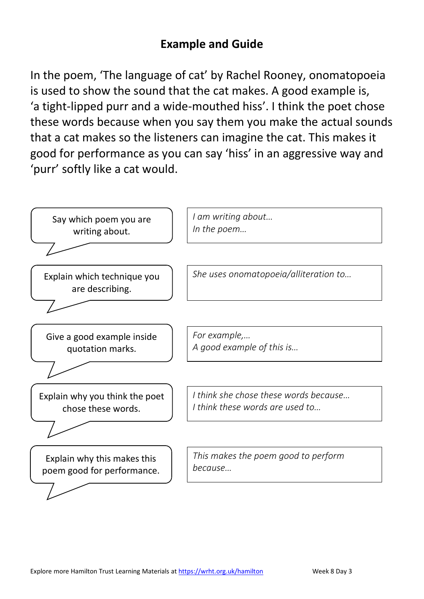## **Example and Guide**

In the poem, 'The language of cat' by Rachel Rooney, onomatopoeia is used to show the sound that the cat makes. A good example is, 'a tight-lipped purr and a wide-mouthed hiss'. I think the poet chose these words because when you say them you make the actual sounds that a cat makes so the listeners can imagine the cat. This makes it good for performance as you can say 'hiss' in an aggressive way and 'purr' softly like a cat would.